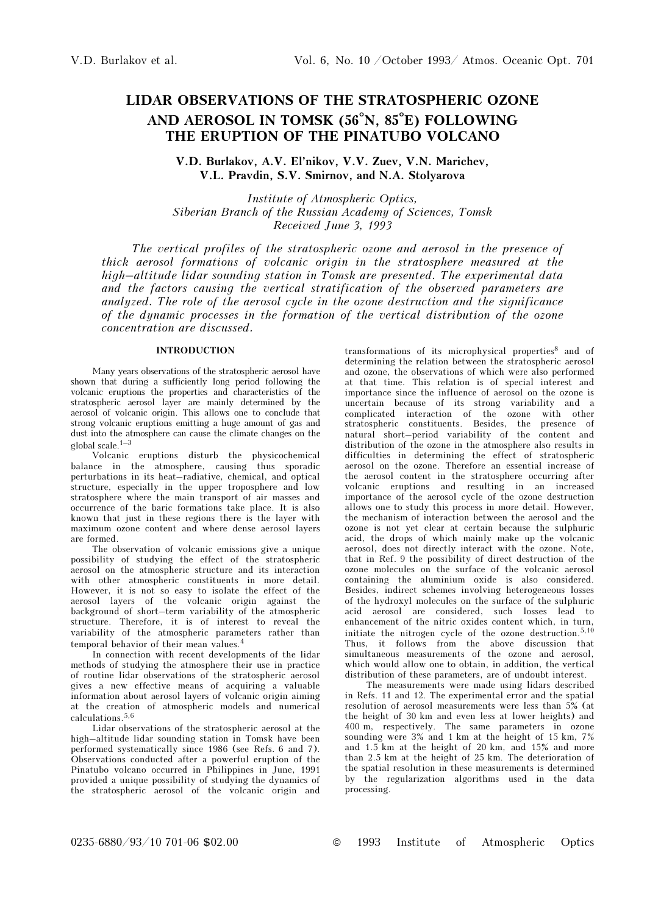# LIDAR OBSERVATIONS OF THE STRATOSPHERIC OZONE AND AEROSOL IN TOMSK (56°N, 85°E) FOLLOWING THE ERUPTION OF THE PINATUBO VOLCANO

V.D. Burlakov, A.V. El'nikov, V.V. Zuev, V.N. Marichev, V.L. Pravdin, S.V. Smirnov, and N.A. Stolyarova

Institute of Atmospheric Optics, Siberian Branch of the Russian Academy of Sciences, Tomsk Received June 3, 1993

The vertical profiles of the stratospheric ozone and aerosol in the presence of thick aerosol formations of volcanic origin in the stratosphere measured at the high–altitude lidar sounding station in Tomsk are presented. The experimental data and the factors causing the vertical stratification of the observed parameters are analyzed. The role of the aerosol cycle in the ozone destruction and the significance of the dynamic processes in the formation of the vertical distribution of the ozone concentration are discussed.

## INTRODUCTION

Many years observations of the stratospheric aerosol have shown that during a sufficiently long period following the volcanic eruptions the properties and characteristics of the stratospheric aerosol layer are mainly determined by the aerosol of volcanic origin. This allows one to conclude that strong volcanic eruptions emitting a huge amount of gas and dust into the atmosphere can cause the climate changes on the global scale. $1-3$ 

Volcanic eruptions disturb the physicochemical balance in the atmosphere, causing thus sporadic perturbations in its heat–radiative, chemical, and optical structure, especially in the upper troposphere and low stratosphere where the main transport of air masses and occurrence of the baric formations take place. It is also known that just in these regions there is the layer with maximum ozone content and where dense aerosol layers are formed.

The observation of volcanic emissions give a unique possibility of studying the effect of the stratospheric aerosol on the atmospheric structure and its interaction with other atmospheric constituents in more detail. However, it is not so easy to isolate the effect of the aerosol layers of the volcanic origin against the background of short–term variability of the atmospheric structure. Therefore, it is of interest to reveal the variability of the atmospheric parameters rather than temporal behavior of their mean values.<sup>4</sup>

In connection with recent developments of the lidar methods of studying the atmosphere their use in practice of routine lidar observations of the stratospheric aerosol gives a new effective means of acquiring a valuable information about aerosol layers of volcanic origin aiming at the creation of atmospheric models and numerical calculations.5,6

Lidar observations of the stratospheric aerosol at the high–altitude lidar sounding station in Tomsk have been performed systematically since 1986 (see Refs. 6 and 7). Observations conducted after a powerful eruption of the Pinatubo volcano occurred in Philippines in June, 1991 provided a unique possibility of studying the dynamics of the stratospheric aerosol of the volcanic origin and transformations of its microphysical properties $8$  and of determining the relation between the stratospheric aerosol and ozone, the observations of which were also performed at that time. This relation is of special interest and importance since the influence of aerosol on the ozone is uncertain because of its strong variability and a complicated interaction of the ozone with other stratospheric constituents. Besides, the presence of natural short–period variability of the content and distribution of the ozone in the atmosphere also results in difficulties in determining the effect of stratospheric aerosol on the ozone. Therefore an essential increase of the aerosol content in the stratosphere occurring after volcanic eruptions and resulting in an increased importance of the aerosol cycle of the ozone destruction allows one to study this process in more detail. However, the mechanism of interaction between the aerosol and the ozone is not yet clear at certain because the sulphuric acid, the drops of which mainly make up the volcanic aerosol, does not directly interact with the ozone. Note, that in Ref. 9 the possibility of direct destruction of the ozone molecules on the surface of the volcanic aerosol containing the aluminium oxide is also considered. Besides, indirect schemes involving heterogeneous losses of the hydroxyl molecules on the surface of the sulphuric acid aerosol are considered, such losses lead to enhancement of the nitric oxides content which, in turn, initiate the nitrogen cycle of the ozone destruction.5,10 Thus, it follows from the above discussion that simultaneous measurements of the ozone and aerosol, which would allow one to obtain, in addition, the vertical distribution of these parameters, are of undoubt interest.

The measurements were made using lidars described in Refs. 11 and 12. The experimental error and the spatial resolution of aerosol measurements were less than 5% (at the height of 30 km and even less at lower heights) and 400 m, respectively. The same parameters in ozone sounding were 3% and 1 km at the height of 15 km, 7% and 1.5 km at the height of 20 km, and 15% and more than 2.5 km at the height of 25 km. The deterioration of the spatial resolution in these measurements is determined by the regularization algorithms used in the data processing.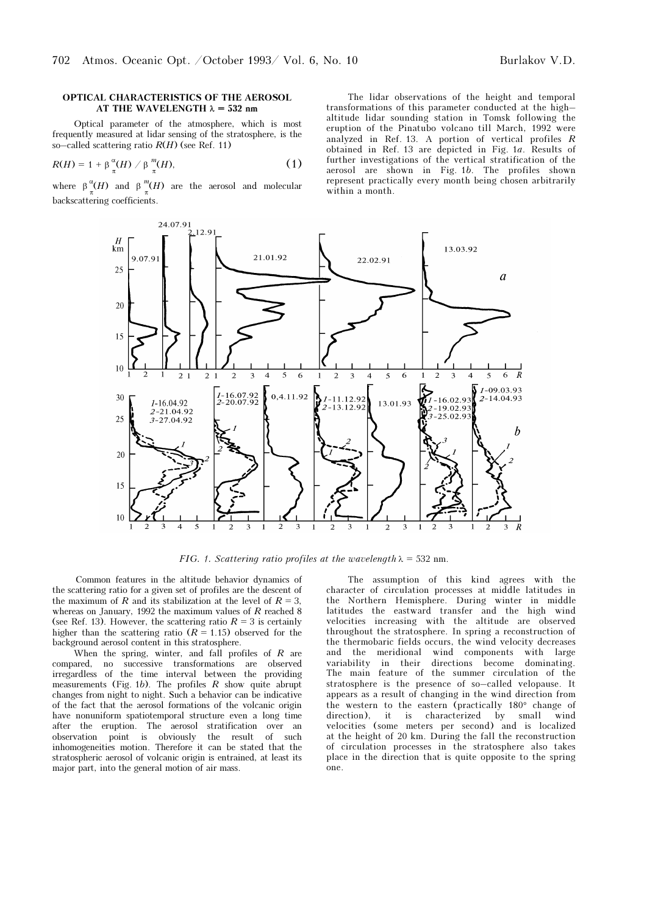#### OPTICAL CHARACTERISTICS OF THE AEROSOL AT THE WAVELENGTH  $\lambda = 532$  nm

Optical parameter of the atmosphere, which is most frequently measured at lidar sensing of the stratosphere, is the so–called scattering ratio  $R(H)$  (see Ref. 11)

$$
R(H) = 1 + \beta \frac{\alpha}{\pi}(H) / \beta \frac{m}{\pi}(H), \qquad (1)
$$

where  $\beta_n^{\alpha}(H)$  and  $\beta_n^{\beta}(H)$  are the aerosol and molecular backscattering coefficients.

The lidar observations of the height and temporal transformations of this parameter conducted at the high– altitude lidar sounding station in Tomsk following the eruption of the Pinatubo volcano till March, 1992 were analyzed in Ref. 13. A portion of vertical profiles R obtained in Ref. 13 are depicted in Fig. 1a. Results of further investigations of the vertical stratification of the aerosol are shown in Fig. 1b. The profiles shown represent practically every month being chosen arbitrarily within a month.



FIG. 1. Scattering ratio profiles at the wavelength  $\lambda = 532$  nm.

Common features in the altitude behavior dynamics of the scattering ratio for a given set of profiles are the descent of the maximum of R and its stabilization at the level of  $R = 3$ , whereas on January, 1992 the maximum values of  $R$  reached 8 (see Ref. 13). However, the scattering ratio  $R = 3$  is certainly higher than the scattering ratio  $(R = 1.15)$  observed for the background aerosol content in this stratosphere.

When the spring, winter, and fall profiles of  $R$  are compared, no successive transformations are observed irregardless of the time interval between the providing measurements (Fig. 1b). The profiles  $R$  show quite abrupt changes from night to night. Such a behavior can be indicative of the fact that the aerosol formations of the volcanic origin have nonuniform spatiotemporal structure even a long time after the eruption. The aerosol stratification over an observation point is obviously the result of such inhomogeneities motion. Therefore it can be stated that the stratospheric aerosol of volcanic origin is entrained, at least its major part, into the general motion of air mass.

The assumption of this kind agrees with the character of circulation processes at middle latitudes in the Northern Hemisphere. During winter in middle latitudes the eastward transfer and the high wind velocities increasing with the altitude are observed throughout the stratosphere. In spring a reconstruction of the thermobaric fields occurs, the wind velocity decreases<br>and the meridional wind components with large wind components with large variability in their directions become dominating. The main feature of the summer circulation of the stratosphere is the presence of so–called velopause. It appears as a result of changing in the wind direction from the western to the eastern (practically 180° change of direction), it is characterized by small wind velocities (some meters per second) and is localized at the height of 20 km. During the fall the reconstruction of circulation processes in the stratosphere also takes place in the direction that is quite opposite to the spring one.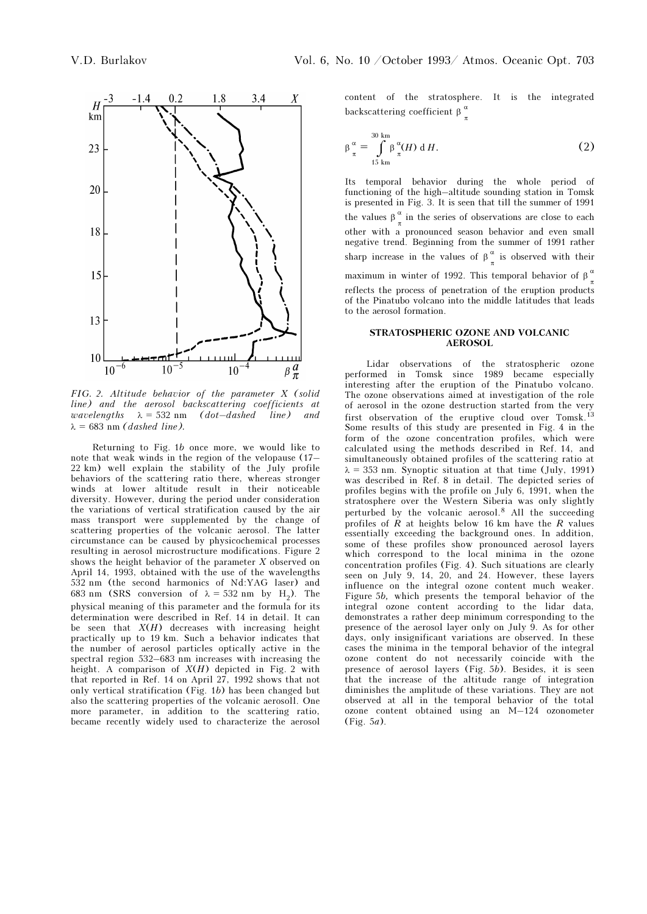

FIG. 2. Altitude behavior of the parameter X (solid line) and the aerosol backscattering coefficients at wavelengths  $\lambda = 532$  nm (dot–dashed line) and  $\lambda = 683$  nm (dashed line).

Returning to Fig. 1b once more, we would like to note that weak winds in the region of the velopause (17– 22 km) well explain the stability of the July profile behaviors of the scattering ratio there, whereas stronger winds at lower altitude result in their noticeable diversity. However, during the period under consideration the variations of vertical stratification caused by the air mass transport were supplemented by the change of scattering properties of the volcanic aerosol. The latter circumstance can be caused by physicochemical processes resulting in aerosol microstructure modifications. Figure 2 shows the height behavior of the parameter  $X$  observed on April 14, 1993, obtained with the use of the wavelengths 532 nm (the second harmonics of Nd:YAG laser) and 683 nm (SRS conversion of  $\lambda = 532$  nm by H<sub>2</sub>). The physical meaning of this parameter and the formula for its determination were described in Ref. 14 in detail. It can be seen that  $X(H)$  decreases with increasing height practically up to 19 km. Such a behavior indicates that the number of aerosol particles optically active in the spectral region 532–683 nm increases with increasing the height. A comparison of  $X(H)$  depicted in Fig. 2 with that reported in Ref. 14 on April 27, 1992 shows that not only vertical stratification (Fig. 1b) has been changed but also the scattering properties of the volcanic aerosoll. One more parameter, in addition to the scattering ratio, became recently widely used to characterize the aerosol content of the stratosphere. It is the integrated backscattering coefficient  $\beta \frac{\alpha}{n}$ 

$$
\beta_{\pi}^{\alpha} = \int_{15 \text{ km}}^{30 \text{ km}} \beta_{\pi}^{\alpha} (H) \, \mathrm{d} \, H. \tag{2}
$$

Its temporal behavior during the whole period of functioning of the high–altitude sounding station in Tomsk is presented in Fig. 3. It is seen that till the summer of 1991 the values  $\beta_{\pi}^{\alpha}$  in the series of observations are close to each other with a pronounced season behavior and even small negative trend. Beginning from the summer of 1991 rather sharp increase in the values of  $\beta_{\pi}^{\alpha}$  is observed with their maximum in winter of 1992. This temporal behavior of  $\beta_{\pi}^{\alpha}$ reflects the process of penetration of the eruption products of the Pinatubo volcano into the middle latitudes that leads to the aerosol formation.

### STRATOSPHERIC OZONE AND VOLCANIC AEROSOL

Lidar observations of the stratospheric ozone performed in Tomsk since 1989 became especially interesting after the eruption of the Pinatubo volcano. The ozone observations aimed at investigation of the role of aerosol in the ozone destruction started from the very first observation of the eruptive cloud over Tomsk.<sup>13</sup> Some results of this study are presented in Fig. 4 in the form of the ozone concentration profiles, which were calculated using the methods described in Ref. 14, and simultaneously obtained profiles of the scattering ratio at  $\lambda = 353$  nm. Synoptic situation at that time (July, 1991) was described in Ref. 8 in detail. The depicted series of profiles begins with the profile on July 6, 1991, when the stratosphere over the Western Siberia was only slightly perturbed by the volcanic aerosol.8 All the succeeding profiles of  $R$  at heights below 16 km have the  $R$  values essentially exceeding the background ones. In addition, some of these profiles show pronounced aerosol layers which correspond to the local minima in the ozone concentration profiles (Fig. 4). Such situations are clearly seen on July 9, 14, 20, and 24. However, these layers influence on the integral ozone content much weaker. Figure 5b, which presents the temporal behavior of the integral ozone content according to the lidar data, demonstrates a rather deep minimum corresponding to the presence of the aerosol layer only on July 9. As for other days, only insignificant variations are observed. In these cases the minima in the temporal behavior of the integral ozone content do not necessarily coincide with the presence of aerosol layers (Fig. 5b). Besides, it is seen that the increase of the altitude range of integration diminishes the amplitude of these variations. They are not observed at all in the temporal behavior of the total ozone content obtained using an M–124 ozonometer (Fig. 5a).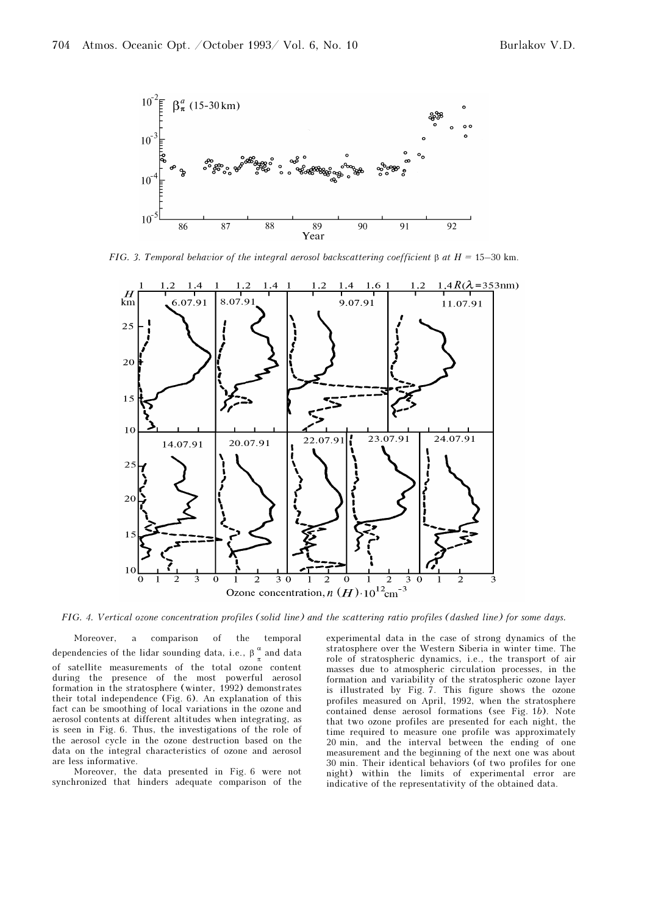

FIG. 3. Temporal behavior of the integral aerosol backscattering coefficient  $\beta$  at  $H = 15-30$  km.



FIG. 4. Vertical ozone concentration profiles (solid line) and the scattering ratio profiles (dashed line) for some days.

Moreover, a comparison of the temporal dependencies of the lidar sounding data, i.e.,  $\beta \frac{\alpha}{\pi}$  and data of satellite measurements of the total ozone content during the presence of the most powerful aerosol formation in the stratosphere (winter, 1992) demonstrates their total independence (Fig. 6). An explanation of this fact can be smoothing of local variations in the ozone and aerosol contents at different altitudes when integrating, as is seen in Fig. 6. Thus, the investigations of the role of the aerosol cycle in the ozone destruction based on the data on the integral characteristics of ozone and aerosol are less informative.

Moreover, the data presented in Fig. 6 were not synchronized that hinders adequate comparison of the experimental data in the case of strong dynamics of the stratosphere over the Western Siberia in winter time. The role of stratospheric dynamics, i.e., the transport of air masses due to atmospheric circulation processes, in the formation and variability of the stratospheric ozone layer is illustrated by Fig. 7. This figure shows the ozone profiles measured on April, 1992, when the stratosphere contained dense aerosol formations (see Fig. 1b). Note that two ozone profiles are presented for each night, the time required to measure one profile was approximately 20 min, and the interval between the ending of one measurement and the beginning of the next one was about 30 min. Their identical behaviors (of two profiles for one night) within the limits of experimental error are indicative of the representativity of the obtained data.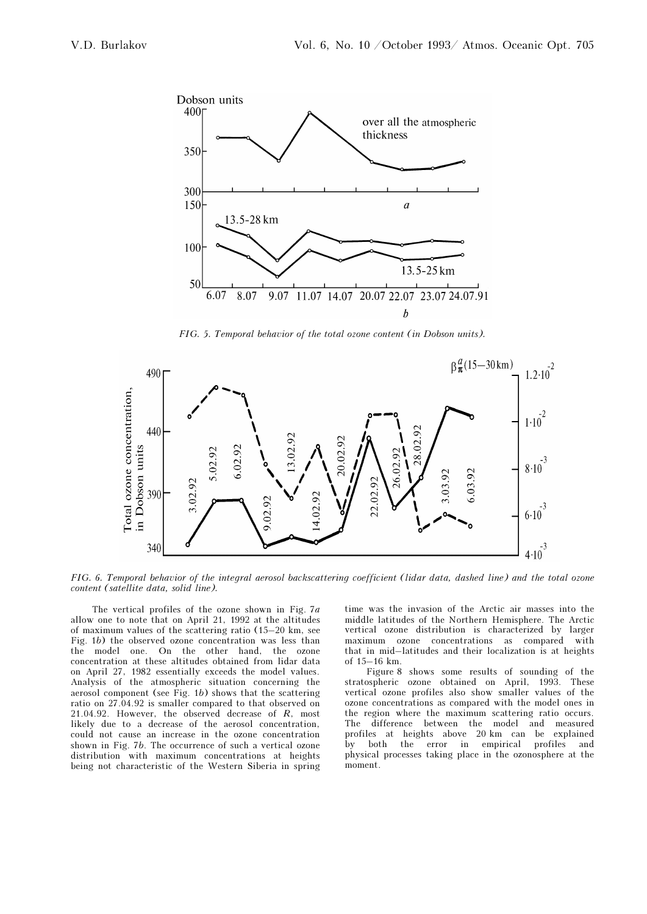

FIG. 5. Temporal behavior of the total ozone content (in Dobson units).



FIG. 6. Temporal behavior of the integral aerosol backscattering coefficient (lidar data, dashed line) and the total ozone content (satellite data, solid line).

The vertical profiles of the ozone shown in Fig. 7a allow one to note that on April 21, 1992 at the altitudes of maximum values of the scattering ratio (15–20 km, see Fig. 1b) the observed ozone concentration was less than the model one. On the other hand, the ozone concentration at these altitudes obtained from lidar data on April 27, 1982 essentially exceeds the model values. Analysis of the atmospheric situation concerning the aerosol component (see Fig.  $1b$ ) shows that the scattering ratio on 27.04.92 is smaller compared to that observed on 21.04.92. However, the observed decrease of R, most likely due to a decrease of the aerosol concentration, could not cause an increase in the ozone concentration shown in Fig. 7b. The occurrence of such a vertical ozone distribution with maximum concentrations at heights being not characteristic of the Western Siberia in spring time was the invasion of the Arctic air masses into the middle latitudes of the Northern Hemisphere. The Arctic vertical ozone distribution is characterized by larger maximum ozone concentrations as compared with that in mid–latitudes and their localization is at heights of 15–16 km.

Figure 8 shows some results of sounding of the stratospheric ozone obtained on April, 1993. These vertical ozone profiles also show smaller values of the ozone concentrations as compared with the model ones in the region where the maximum scattering ratio occurs. The difference between the model and measured profiles at heights above 20 km can be explained error in empirical physical processes taking place in the ozonosphere at the moment.